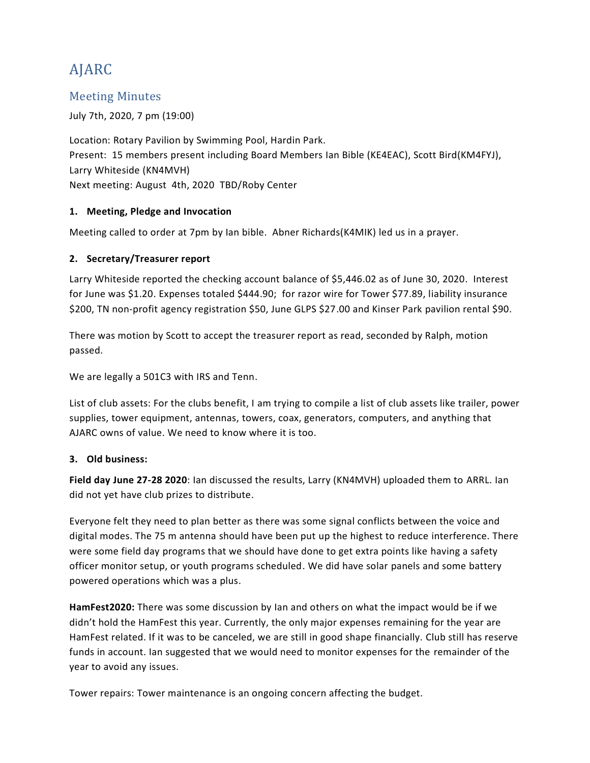# AJARC

### Meeting Minutes

July 7th, 2020, 7 pm (19:00)

Location: Rotary Pavilion by Swimming Pool, Hardin Park. Present: 15 members present including Board Members Ian Bible (KE4EAC), Scott Bird(KM4FYJ), Larry Whiteside (KN4MVH) Next meeting: August 4th, 2020 TBD/Roby Center

#### **1. Meeting, Pledge and Invocation**

Meeting called to order at 7pm by Ian bible. Abner Richards(K4MIK) led us in a prayer.

#### **2. Secretary/Treasurer report**

Larry Whiteside reported the checking account balance of \$5,446.02 as of June 30, 2020. Interest for June was \$1.20. Expenses totaled \$444.90; for razor wire for Tower \$77.89, liability insurance \$200, TN non-profit agency registration \$50, June GLPS \$27.00 and Kinser Park pavilion rental \$90.

There was motion by Scott to accept the treasurer report as read, seconded by Ralph, motion passed.

We are legally a 501C3 with IRS and Tenn.

List of club assets: For the clubs benefit, I am trying to compile a list of club assets like trailer, power supplies, tower equipment, antennas, towers, coax, generators, computers, and anything that AJARC owns of value. We need to know where it is too.

#### **3. Old business:**

**Field day June 27-28 2020**: Ian discussed the results, Larry (KN4MVH) uploaded them to ARRL. Ian did not yet have club prizes to distribute.

Everyone felt they need to plan better as there was some signal conflicts between the voice and digital modes. The 75 m antenna should have been put up the highest to reduce interference. There were some field day programs that we should have done to get extra points like having a safety officer monitor setup, or youth programs scheduled. We did have solar panels and some battery powered operations which was a plus.

**HamFest2020:** There was some discussion by Ian and others on what the impact would be if we didn't hold the HamFest this year. Currently, the only major expenses remaining for the year are HamFest related. If it was to be canceled, we are still in good shape financially. Club still has reserve funds in account. Ian suggested that we would need to monitor expenses for the remainder of the year to avoid any issues.

Tower repairs: Tower maintenance is an ongoing concern affecting the budget.